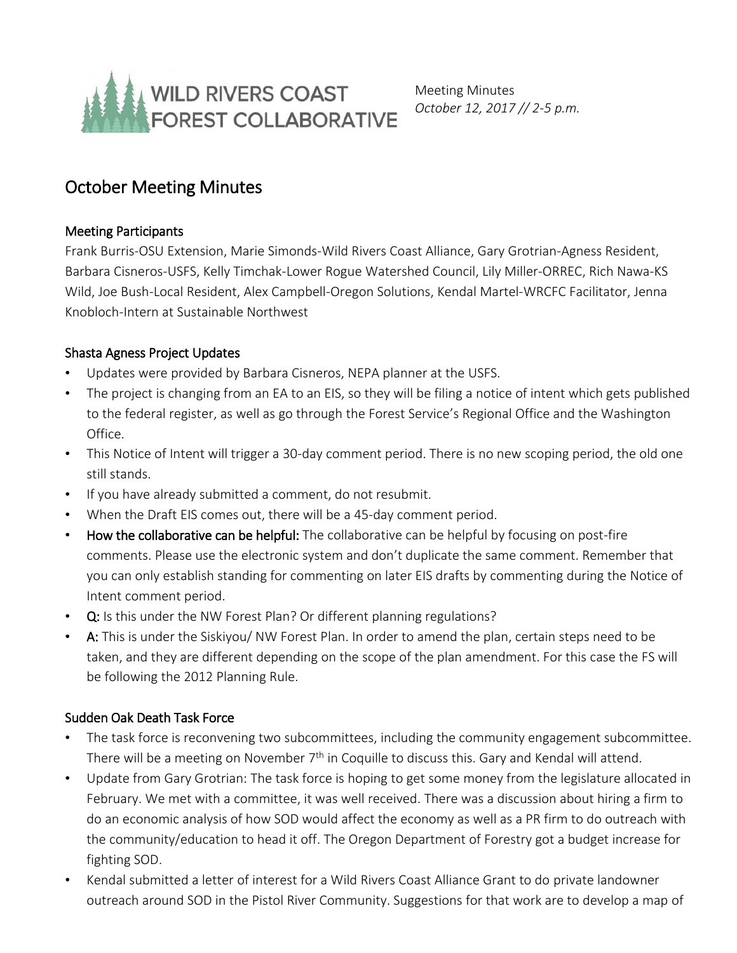

Meeting Minutes *October 12, 2017 // 2-5 p.m.*

# October Meeting Minutes

### Meeting Participants

Frank Burris-OSU Extension, Marie Simonds-Wild Rivers Coast Alliance, Gary Grotrian-Agness Resident, Barbara Cisneros-USFS, Kelly Timchak-Lower Rogue Watershed Council, Lily Miller-ORREC, Rich Nawa-KS Wild, Joe Bush-Local Resident, Alex Campbell-Oregon Solutions, Kendal Martel-WRCFC Facilitator, Jenna Knobloch-Intern at Sustainable Northwest

## Shasta Agness Project Updates

- Updates were provided by Barbara Cisneros, NEPA planner at the USFS.
- The project is changing from an EA to an EIS, so they will be filing a notice of intent which gets published to the federal register, as well as go through the Forest Service's Regional Office and the Washington Office.
- This Notice of Intent will trigger a 30-day comment period. There is no new scoping period, the old one still stands.
- If you have already submitted a comment, do not resubmit.
- When the Draft EIS comes out, there will be a 45-day comment period.
- How the collaborative can be helpful: The collaborative can be helpful by focusing on post-fire comments. Please use the electronic system and don't duplicate the same comment. Remember that you can only establish standing for commenting on later EIS drafts by commenting during the Notice of Intent comment period.
- Q: Is this under the NW Forest Plan? Or different planning regulations?
- A: This is under the Siskiyou/ NW Forest Plan. In order to amend the plan, certain steps need to be taken, and they are different depending on the scope of the plan amendment. For this case the FS will be following the 2012 Planning Rule.

# Sudden Oak Death Task Force

- The task force is reconvening two subcommittees, including the community engagement subcommittee. There will be a meeting on November  $7<sup>th</sup>$  in Coquille to discuss this. Gary and Kendal will attend.
- Update from Gary Grotrian: The task force is hoping to get some money from the legislature allocated in February. We met with a committee, it was well received. There was a discussion about hiring a firm to do an economic analysis of how SOD would affect the economy as well as a PR firm to do outreach with the community/education to head it off. The Oregon Department of Forestry got a budget increase for fighting SOD.
- Kendal submitted a letter of interest for a Wild Rivers Coast Alliance Grant to do private landowner outreach around SOD in the Pistol River Community. Suggestions for that work are to develop a map of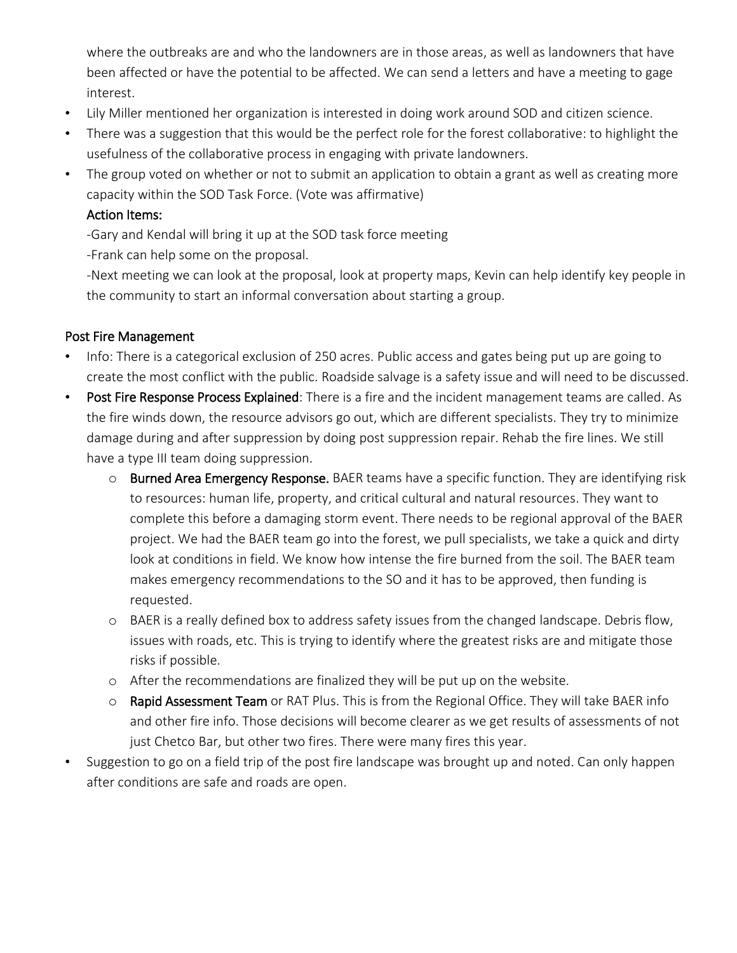where the outbreaks are and who the landowners are in those areas, as well as landowners that have been affected or have the potential to be affected. We can send a letters and have a meeting to gage interest.

- Lily Miller mentioned her organization is interested in doing work around SOD and citizen science.
- There was a suggestion that this would be the perfect role for the forest collaborative: to highlight the usefulness of the collaborative process in engaging with private landowners.
- The group voted on whether or not to submit an application to obtain a grant as well as creating more capacity within the SOD Task Force. (Vote was affirmative)

### Action Items:

-Gary and Kendal will bring it up at the SOD task force meeting

-Frank can help some on the proposal.

-Next meeting we can look at the proposal, look at property maps, Kevin can help identify key people in the community to start an informal conversation about starting a group.

#### Post Fire Management

- Info: There is a categorical exclusion of 250 acres. Public access and gates being put up are going to create the most conflict with the public. Roadside salvage is a safety issue and will need to be discussed.
- Post Fire Response Process Explained: There is a fire and the incident management teams are called. As the fire winds down, the resource advisors go out, which are different specialists. They try to minimize damage during and after suppression by doing post suppression repair. Rehab the fire lines. We still have a type III team doing suppression.
	- o Burned Area Emergency Response. BAER teams have a specific function. They are identifying risk to resources: human life, property, and critical cultural and natural resources. They want to complete this before a damaging storm event. There needs to be regional approval of the BAER project. We had the BAER team go into the forest, we pull specialists, we take a quick and dirty look at conditions in field. We know how intense the fire burned from the soil. The BAER team makes emergency recommendations to the SO and it has to be approved, then funding is requested.
	- o BAER is a really defined box to address safety issues from the changed landscape. Debris flow, issues with roads, etc. This is trying to identify where the greatest risks are and mitigate those risks if possible.
	- o After the recommendations are finalized they will be put up on the website.
	- o Rapid Assessment Team or RAT Plus. This is from the Regional Office. They will take BAER info and other fire info. Those decisions will become clearer as we get results of assessments of not just Chetco Bar, but other two fires. There were many fires this year.
- Suggestion to go on a field trip of the post fire landscape was brought up and noted. Can only happen after conditions are safe and roads are open.